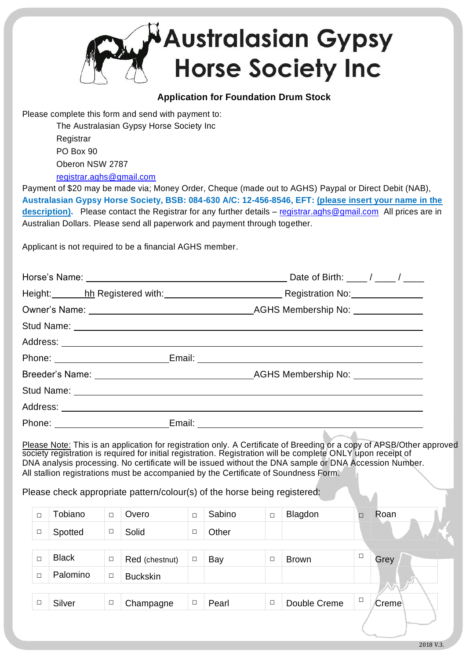

## **Application for Foundation Drum Stock**

Please complete this form and send with payment to:

The Australasian Gypsy Horse Society Inc **Registrar** PO Box 90 Oberon NSW 2787 [registrar.aghs@gmail.com](mailto:registrar.aghs@gmail.com)

Payment of \$20 may be made via; Money Order, Cheque (made out to AGHS) Paypal or Direct Debit (NAB), **Australasian Gypsy Horse Society, BSB: 084-630 A/C: 12-456-8546, EFT: (please insert your name in the description).** Please contact the Registrar for any further details – [registrar.aghs@gmail.com](mailto:registrar.aghs@gmail.com) All prices are in Australian Dollars. Please send all paperwork and payment through together.

Applicant is not required to be a financial AGHS member.

|  |  | Height: http://www.bib.com/https://www.bib.com/https://www.bib.com/https://www.bib.com/https://www.bib.com/https://www.bib.com/https://www.bib.com/https://www.bib.com/https://www.bib.com/https://www.bib.com/https://www.bib |  |  |  |  |  |
|--|--|--------------------------------------------------------------------------------------------------------------------------------------------------------------------------------------------------------------------------------|--|--|--|--|--|
|  |  |                                                                                                                                                                                                                                |  |  |  |  |  |
|  |  |                                                                                                                                                                                                                                |  |  |  |  |  |
|  |  |                                                                                                                                                                                                                                |  |  |  |  |  |
|  |  |                                                                                                                                                                                                                                |  |  |  |  |  |
|  |  |                                                                                                                                                                                                                                |  |  |  |  |  |
|  |  |                                                                                                                                                                                                                                |  |  |  |  |  |
|  |  |                                                                                                                                                                                                                                |  |  |  |  |  |
|  |  | Phone: _______________________________Email: ___________________________________                                                                                                                                               |  |  |  |  |  |
|  |  | Please Note: This is an application for registration only A Certificate of Breeding or a cony of APSB/Other approver                                                                                                           |  |  |  |  |  |

Please Note: This is an application for registration only. A Certificate of Breeding or a copy of APSB/Other approved society registration is required for initial registration. Registration will be complete ONLY upon receipt of DNA analysis processing. No certificate will be issued without the DNA sample or DNA Accession Number. All stallion registrations must be accompanied by the Certificate of Soundness Form.

Please check appropriate pattern/colour(s) of the horse being registered:

| $\Box$ | Tobiano      | $\Box$ | Overo           | $\Box$ | Sabino | $\Box$ | Blagdon      | $\Box$ | Roan  |
|--------|--------------|--------|-----------------|--------|--------|--------|--------------|--------|-------|
| $\Box$ | Spotted      | $\Box$ | Solid           | $\Box$ | Other  |        |              |        |       |
|        |              |        |                 |        |        |        |              |        |       |
| $\Box$ | <b>Black</b> | $\Box$ | Red (chestnut)  | $\Box$ | Bay    | $\Box$ | <b>Brown</b> | $\Box$ | Grey  |
| П      | Palomino     | $\Box$ | <b>Buckskin</b> |        |        |        |              |        |       |
|        |              |        |                 |        |        |        |              |        |       |
|        | Silver       | $\Box$ | Champagne       | $\Box$ | Pearl  | $\Box$ | Double Creme | $\Box$ | Creme |